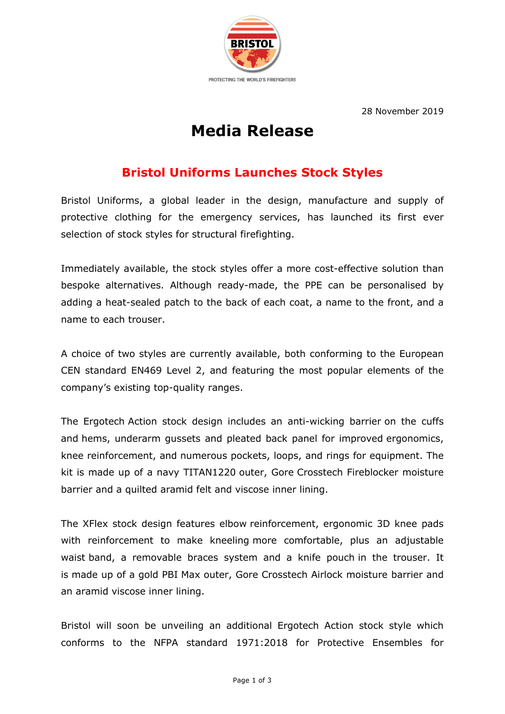

28 November 2019

## **Media Release**

## **Bristol Uniforms Launches Stock Styles**

Bristol Uniforms, a global leader in the design, manufacture and supply of protective clothing for the emergency services, has launched its first ever selection of stock styles for structural firefighting.

Immediately available, the stock styles offer a more cost-effective solution than bespoke alternatives. Although ready-made, the PPE can be personalised by adding a heat-sealed patch to the back of each coat, a name to the front, and a name to each trouser.

A choice of two styles are currently available, both conforming to the European CEN standard EN469 Level 2, and featuring the most popular elements of the company's existing top-quality ranges.

The Ergotech Action stock design includes an anti-wicking barrier on the cuffs and hems, underarm gussets and pleated back panel for improved ergonomics, knee reinforcement, and numerous pockets, loops, and rings for equipment. The kit is made up of a navy TITAN1220 outer, Gore Crosstech Fireblocker moisture barrier and a quilted aramid felt and viscose inner lining.

The XFlex stock design features elbow reinforcement, ergonomic 3D knee pads with reinforcement to make kneeling more comfortable, plus an adjustable waist band, a removable braces system and a knife pouch in the trouser. It is made up of a gold PBI Max outer, Gore Crosstech Airlock moisture barrier and an aramid viscose inner lining.

Bristol will soon be unveiling an additional Ergotech Action stock style which conforms to the NFPA standard 1971:2018 for Protective Ensembles for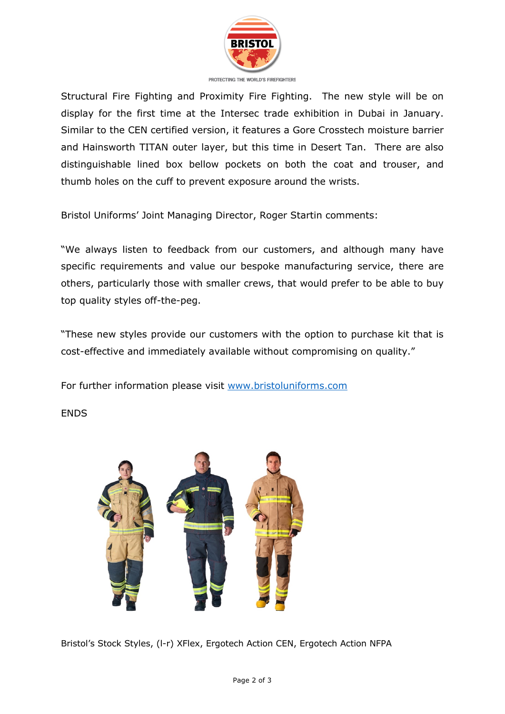

PROTECTING THE WORLD'S FIREFIGHTERS

Structural Fire Fighting and Proximity Fire Fighting. The new style will be on display for the first time at the Intersec trade exhibition in Dubai in January. Similar to the CEN certified version, it features a Gore Crosstech moisture barrier and Hainsworth TITAN outer layer, but this time in Desert Tan. There are also distinguishable lined box bellow pockets on both the coat and trouser, and thumb holes on the cuff to prevent exposure around the wrists.

Bristol Uniforms' Joint Managing Director, Roger Startin comments:

"We always listen to feedback from our customers, and although many have specific requirements and value our bespoke manufacturing service, there are others, particularly those with smaller crews, that would prefer to be able to buy top quality styles off-the-peg.

"These new styles provide our customers with the option to purchase kit that is cost-effective and immediately available without compromising on quality."

For further information please visit www.bristoluniforms.com

**ENDS** 



Bristol's Stock Styles, (l-r) XFlex, Ergotech Action CEN, Ergotech Action NFPA